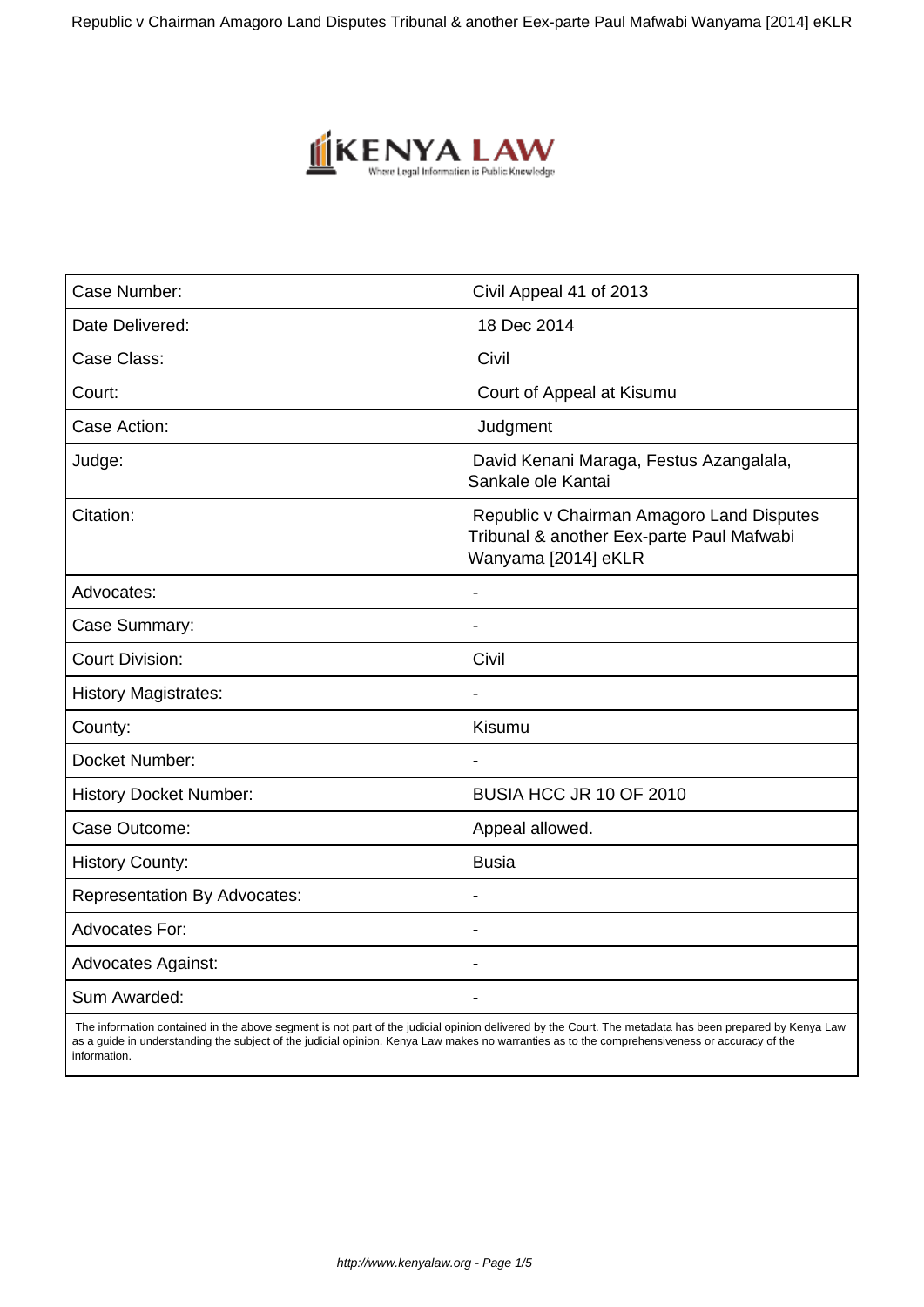Republic v Chairman Amagoro Land Disputes Tribunal & another Eex-parte Paul Mafwabi Wanyama [2014] eKLR



| Case Number:                        | Civil Appeal 41 of 2013                                                                                       |
|-------------------------------------|---------------------------------------------------------------------------------------------------------------|
| Date Delivered:                     | 18 Dec 2014                                                                                                   |
| Case Class:                         | Civil                                                                                                         |
| Court:                              | Court of Appeal at Kisumu                                                                                     |
| Case Action:                        | Judgment                                                                                                      |
| Judge:                              | David Kenani Maraga, Festus Azangalala,<br>Sankale ole Kantai                                                 |
| Citation:                           | Republic v Chairman Amagoro Land Disputes<br>Tribunal & another Eex-parte Paul Mafwabi<br>Wanyama [2014] eKLR |
| Advocates:                          | $\overline{\phantom{a}}$                                                                                      |
| Case Summary:                       |                                                                                                               |
| <b>Court Division:</b>              | Civil                                                                                                         |
| <b>History Magistrates:</b>         | $\overline{\phantom{a}}$                                                                                      |
| County:                             | Kisumu                                                                                                        |
| Docket Number:                      |                                                                                                               |
| <b>History Docket Number:</b>       | BUSIA HCC JR 10 OF 2010                                                                                       |
| Case Outcome:                       | Appeal allowed.                                                                                               |
| <b>History County:</b>              | <b>Busia</b>                                                                                                  |
| <b>Representation By Advocates:</b> |                                                                                                               |
| <b>Advocates For:</b>               | $\overline{\phantom{a}}$                                                                                      |
| <b>Advocates Against:</b>           | $\blacksquare$                                                                                                |
| Sum Awarded:                        |                                                                                                               |

 The information contained in the above segment is not part of the judicial opinion delivered by the Court. The metadata has been prepared by Kenya Law as a guide in understanding the subject of the judicial opinion. Kenya Law makes no warranties as to the comprehensiveness or accuracy of the information.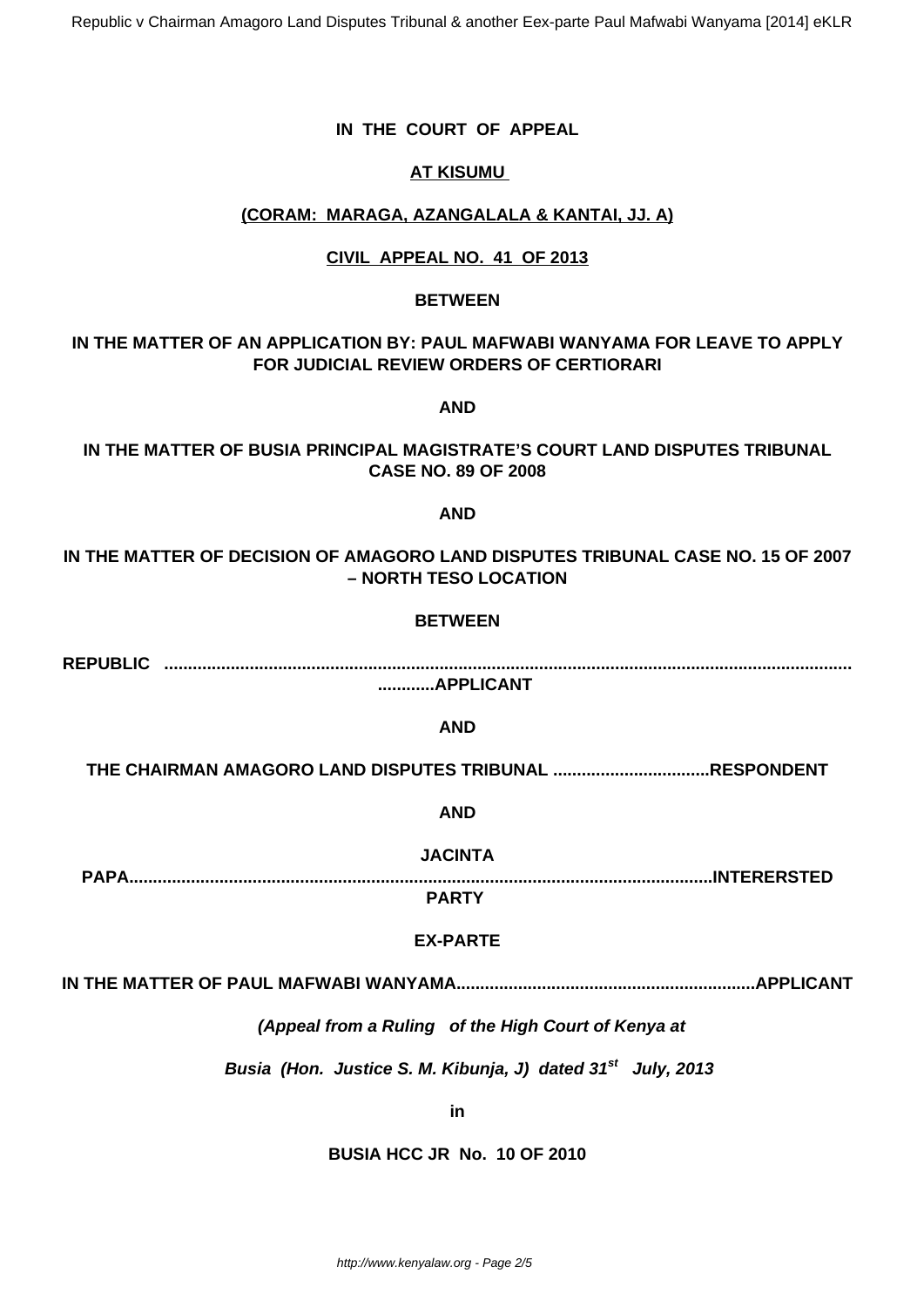Republic v Chairman Amagoro Land Disputes Tribunal & another Eex-parte Paul Mafwabi Wanyama [2014] eKLR

# **IN THE COURT OF APPEAL**

## **AT KISUMU**

#### **(CORAM: MARAGA, AZANGALALA & KANTAI, JJ. A)**

#### **CIVIL APPEAL NO. 41 OF 2013**

#### **BETWEEN**

## **IN THE MATTER OF AN APPLICATION BY: PAUL MAFWABI WANYAMA FOR LEAVE TO APPLY FOR JUDICIAL REVIEW ORDERS OF CERTIORARI**

**AND**

## **IN THE MATTER OF BUSIA PRINCIPAL MAGISTRATE'S COURT LAND DISPUTES TRIBUNAL CASE NO. 89 OF 2008**

#### **AND**

# **IN THE MATTER OF DECISION OF AMAGORO LAND DISPUTES TRIBUNAL CASE NO. 15 OF 2007 – NORTH TESO LOCATION**

#### **BETWEEN**

**REPUBLIC .................................................................................................................................................**

**............APPLICANT**

#### **AND**

**THE CHAIRMAN AMAGORO LAND DISPUTES TRIBUNAL .................................RESPONDENT**

**AND**

**JACINTA**

**PAPA...........................................................................................................................INTERERSTED**

**PARTY**

## **EX-PARTE**

**IN THE MATTER OF PAUL MAFWABI WANYAMA...............................................................APPLICANT**

**(Appeal from a Ruling of the High Court of Kenya at**

 **Busia (Hon. Justice S. M. Kibunja, J) dated 31st July, 2013**

**in**

#### **BUSIA HCC JR No. 10 OF 2010**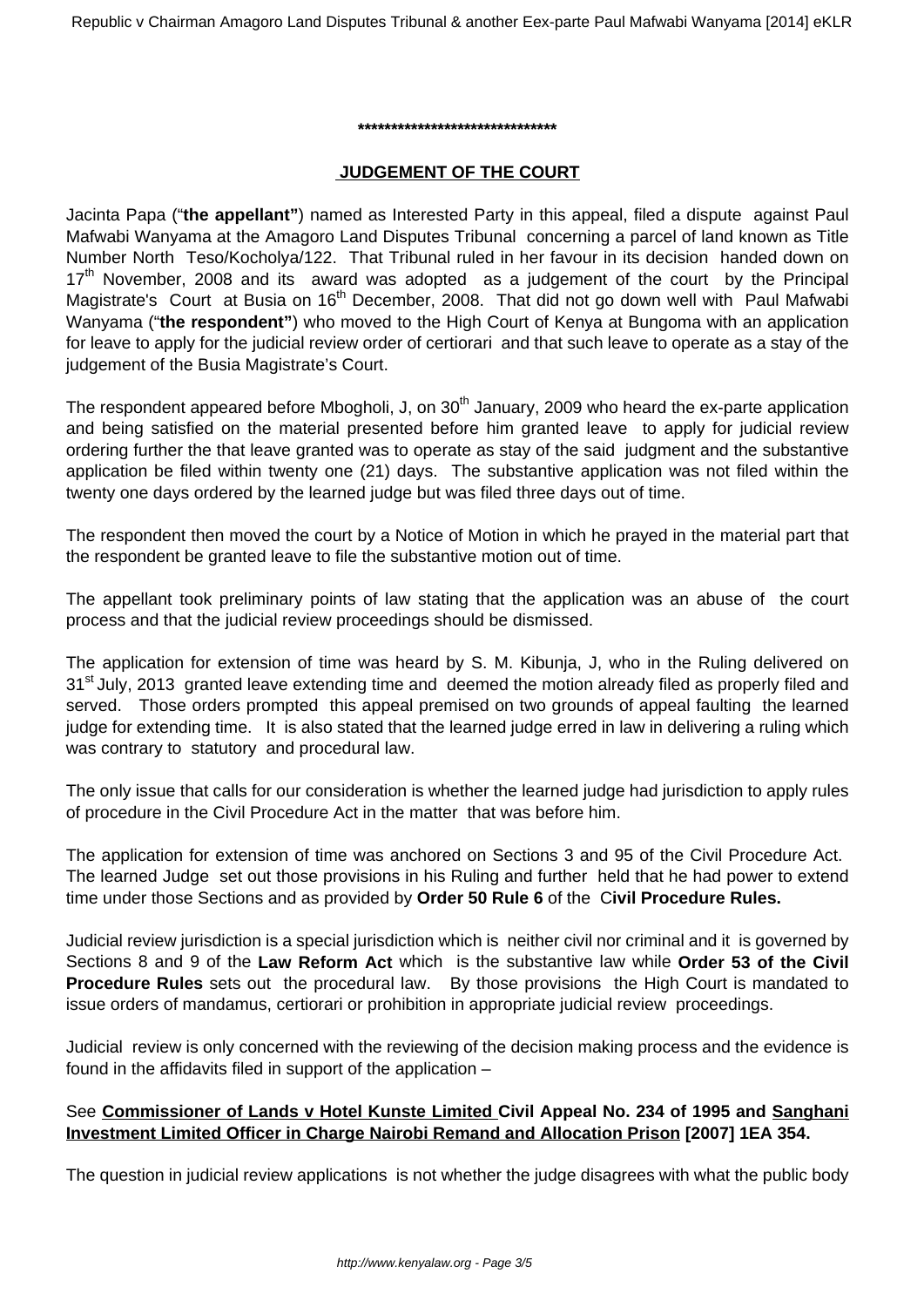Republic v Chairman Amagoro Land Disputes Tribunal & another Eex-parte Paul Mafwabi Wanyama [2014] eKLR

#### **\*\*\*\*\*\*\*\*\*\*\*\*\*\*\*\*\*\*\*\*\*\*\*\*\*\*\*\*\*\***

#### **JUDGEMENT OF THE COURT**

Jacinta Papa ("**the appellant"**) named as Interested Party in this appeal, filed a dispute against Paul Mafwabi Wanyama at the Amagoro Land Disputes Tribunal concerning a parcel of land known as Title Number North Teso/Kocholya/122. That Tribunal ruled in her favour in its decision handed down on  $17<sup>th</sup>$  November, 2008 and its award was adopted as a judgement of the court by the Principal Magistrate's Court at Busia on 16<sup>th</sup> December, 2008. That did not go down well with Paul Mafwabi Wanyama ("**the respondent"**) who moved to the High Court of Kenya at Bungoma with an application for leave to apply for the judicial review order of certiorari and that such leave to operate as a stay of the judgement of the Busia Magistrate's Court.

The respondent appeared before Mbogholi, J, on 30<sup>th</sup> January, 2009 who heard the ex-parte application and being satisfied on the material presented before him granted leave to apply for judicial review ordering further the that leave granted was to operate as stay of the said judgment and the substantive application be filed within twenty one (21) days. The substantive application was not filed within the twenty one days ordered by the learned judge but was filed three days out of time.

The respondent then moved the court by a Notice of Motion in which he prayed in the material part that the respondent be granted leave to file the substantive motion out of time.

The appellant took preliminary points of law stating that the application was an abuse of the court process and that the judicial review proceedings should be dismissed.

The application for extension of time was heard by S. M. Kibunja, J, who in the Ruling delivered on 31<sup>st</sup> July, 2013 granted leave extending time and deemed the motion already filed as properly filed and served. Those orders prompted this appeal premised on two grounds of appeal faulting the learned judge for extending time. It is also stated that the learned judge erred in law in delivering a ruling which was contrary to statutory and procedural law.

The only issue that calls for our consideration is whether the learned judge had jurisdiction to apply rules of procedure in the Civil Procedure Act in the matter that was before him.

The application for extension of time was anchored on Sections 3 and 95 of the Civil Procedure Act. The learned Judge set out those provisions in his Ruling and further held that he had power to extend time under those Sections and as provided by **Order 50 Rule 6** of the C**ivil Procedure Rules.**

Judicial review jurisdiction is a special jurisdiction which is neither civil nor criminal and it is governed by Sections 8 and 9 of the **Law Reform Act** which is the substantive law while **Order 53 of the Civil Procedure Rules** sets out the procedural law. By those provisions the High Court is mandated to issue orders of mandamus, certiorari or prohibition in appropriate judicial review proceedings.

Judicial review is only concerned with the reviewing of the decision making process and the evidence is found in the affidavits filed in support of the application –

## See **Commissioner of Lands v Hotel Kunste Limited Civil Appeal No. 234 of 1995 and Sanghani Investment Limited Officer in Charge Nairobi Remand and Allocation Prison [2007] 1EA 354.**

The question in judicial review applications is not whether the judge disagrees with what the public body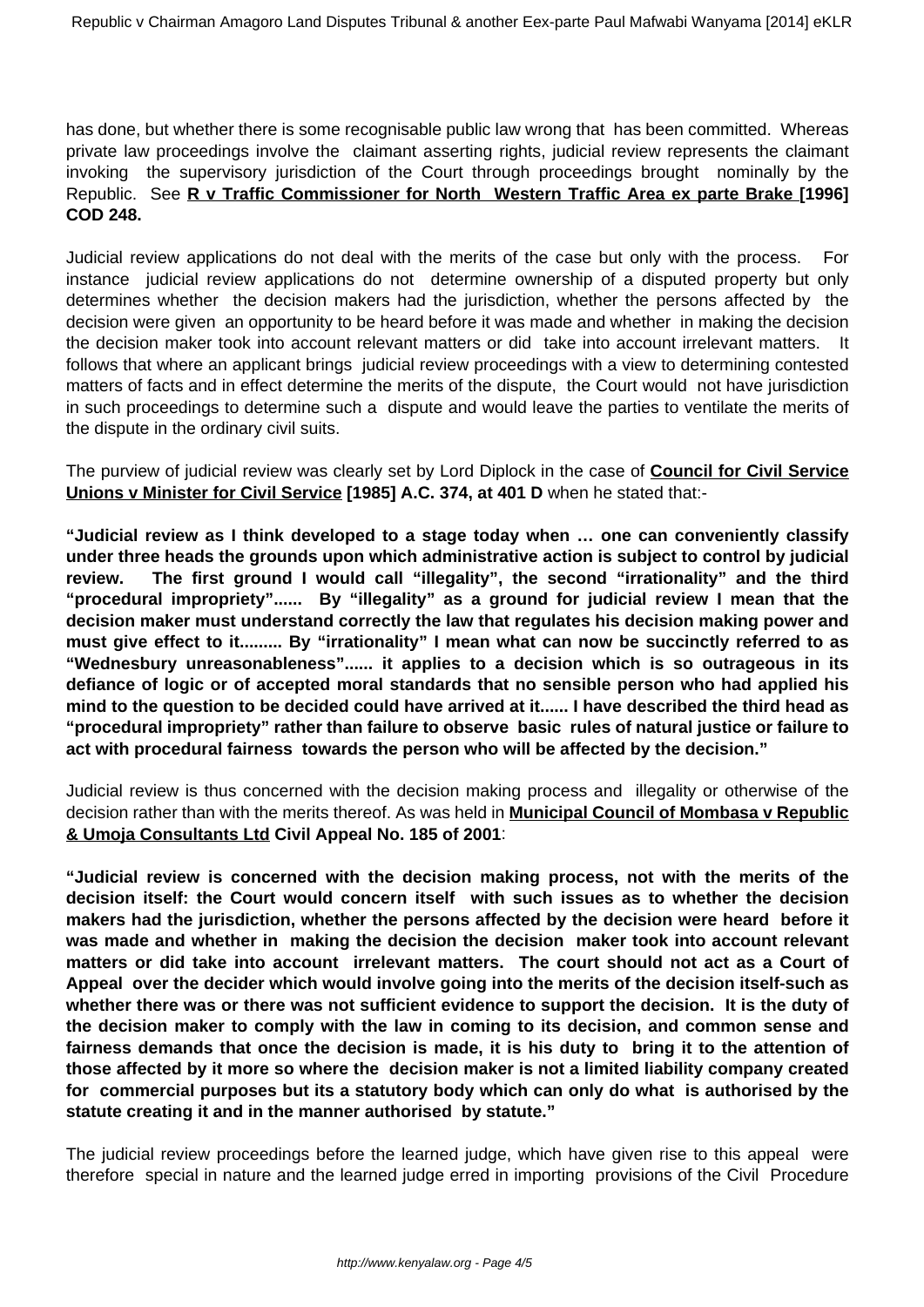has done, but whether there is some recognisable public law wrong that has been committed. Whereas private law proceedings involve the claimant asserting rights, judicial review represents the claimant invoking the supervisory jurisdiction of the Court through proceedings brought nominally by the Republic. See **R v Traffic Commissioner for North Western Traffic Area ex parte Brake [1996] COD 248.**

Judicial review applications do not deal with the merits of the case but only with the process. For instance judicial review applications do not determine ownership of a disputed property but only determines whether the decision makers had the jurisdiction, whether the persons affected by the decision were given an opportunity to be heard before it was made and whether in making the decision the decision maker took into account relevant matters or did take into account irrelevant matters. It follows that where an applicant brings judicial review proceedings with a view to determining contested matters of facts and in effect determine the merits of the dispute, the Court would not have jurisdiction in such proceedings to determine such a dispute and would leave the parties to ventilate the merits of the dispute in the ordinary civil suits.

The purview of judicial review was clearly set by Lord Diplock in the case of **Council for Civil Service Unions v Minister for Civil Service [1985] A.C. 374, at 401 D** when he stated that:-

**"Judicial review as I think developed to a stage today when … one can conveniently classify under three heads the grounds upon which administrative action is subject to control by judicial review. The first ground I would call "illegality", the second "irrationality" and the third "procedural impropriety"...... By "illegality" as a ground for judicial review I mean that the decision maker must understand correctly the law that regulates his decision making power and must give effect to it......... By "irrationality" I mean what can now be succinctly referred to as "Wednesbury unreasonableness"...... it applies to a decision which is so outrageous in its defiance of logic or of accepted moral standards that no sensible person who had applied his mind to the question to be decided could have arrived at it...... I have described the third head as "procedural impropriety" rather than failure to observe basic rules of natural justice or failure to act with procedural fairness towards the person who will be affected by the decision."**

Judicial review is thus concerned with the decision making process and illegality or otherwise of the decision rather than with the merits thereof. As was held in **Municipal Council of Mombasa v Republic & Umoja Consultants Ltd Civil Appeal No. 185 of 2001**:

**"Judicial review is concerned with the decision making process, not with the merits of the decision itself: the Court would concern itself with such issues as to whether the decision makers had the jurisdiction, whether the persons affected by the decision were heard before it was made and whether in making the decision the decision maker took into account relevant matters or did take into account irrelevant matters. The court should not act as a Court of Appeal over the decider which would involve going into the merits of the decision itself-such as whether there was or there was not sufficient evidence to support the decision. It is the duty of the decision maker to comply with the law in coming to its decision, and common sense and fairness demands that once the decision is made, it is his duty to bring it to the attention of those affected by it more so where the decision maker is not a limited liability company created for commercial purposes but its a statutory body which can only do what is authorised by the statute creating it and in the manner authorised by statute."**

The judicial review proceedings before the learned judge, which have given rise to this appeal were therefore special in nature and the learned judge erred in importing provisions of the Civil Procedure